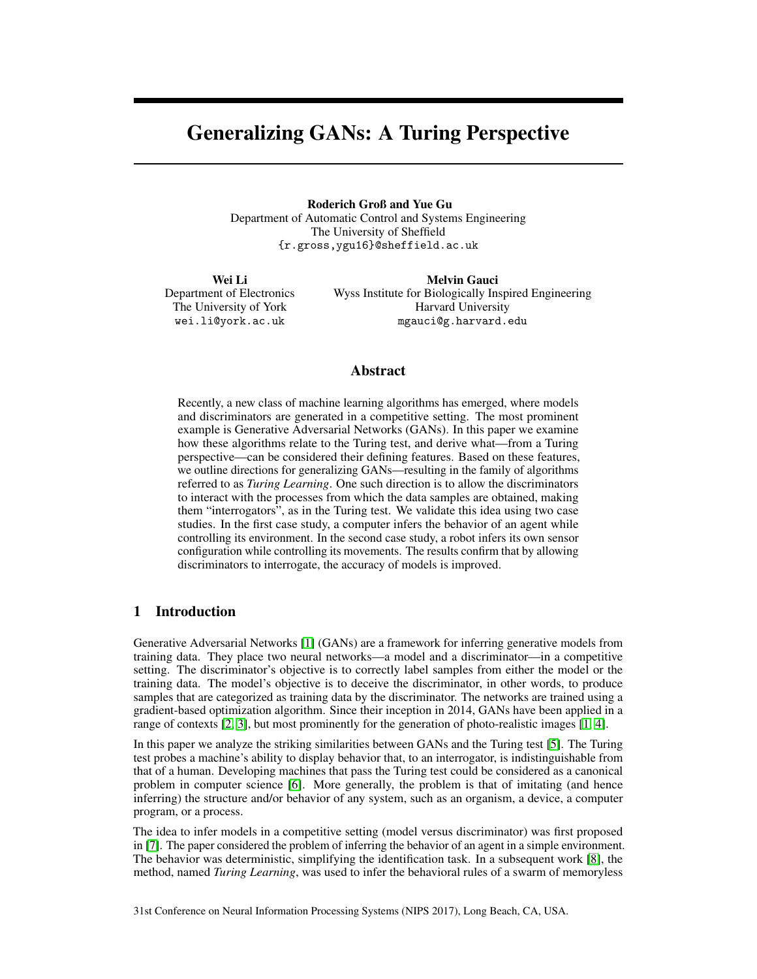# Generalizing GANs: A Turing Perspective

Roderich Groß and Yue Gu Department of Automatic Control and Systems Engineering The University of Sheffield {r.gross,ygu16}@sheffield.ac.uk

Wei Li Department of Electronics The University of York wei.li@york.ac.uk

Melvin Gauci Wyss Institute for Biologically Inspired Engineering Harvard University mgauci@g.harvard.edu

### Abstract

Recently, a new class of machine learning algorithms has emerged, where models and discriminators are generated in a competitive setting. The most prominent example is Generative Adversarial Networks (GANs). In this paper we examine how these algorithms relate to the Turing test, and derive what—from a Turing perspective—can be considered their defining features. Based on these features, we outline directions for generalizing GANs—resulting in the family of algorithms referred to as *Turing Learning*. One such direction is to allow the discriminators to interact with the processes from which the data samples are obtained, making them "interrogators", as in the Turing test. We validate this idea using two case studies. In the first case study, a computer infers the behavior of an agent while controlling its environment. In the second case study, a robot infers its own sensor configuration while controlling its movements. The results confirm that by allowing discriminators to interrogate, the accuracy of models is improved.

# 1 Introduction

Generative Adversarial Networks [1] (GANs) are a framework for inferring generative models from training data. They place two neural networks—a model and a discriminator—in a competitive setting. The discriminator's objective is to correctly label samples from either the model or the training data. The model's objective is to deceive the discriminator, in other words, to produce samples that are categorized as training data by the discriminator. The networks are trained using a gradient-based optimization algorithm. Since their inception in 2014, GANs have been applied in a range of contexts [2, 3], but most prominently for the generation of photo-realistic images [1, 4].

In this paper we analyze the striking similarities between GANs and the Turing test [5]. The Turing test probes a machine's ability to display behavior that, to an interrogator, is indistinguishable from that of a human. Developing machines that pass the Turing test could be considered as a canonical problem in computer science [6]. More generally, the problem is that of imitating (and hence inferring) the structure and/or behavior of any system, such as an organism, a device, a computer program, or a process.

The idea to infer models in a competitive setting (model versus discriminator) was first proposed in [7]. The paper considered the problem of inferring the behavior of an agent in a simple environment. The behavior was deterministic, simplifying the identification task. In a subsequent work [8], the method, named *Turing Learning*, was used to infer the behavioral rules of a swarm of memoryless

31st Conference on Neural Information Processing Systems (NIPS 2017), Long Beach, CA, USA.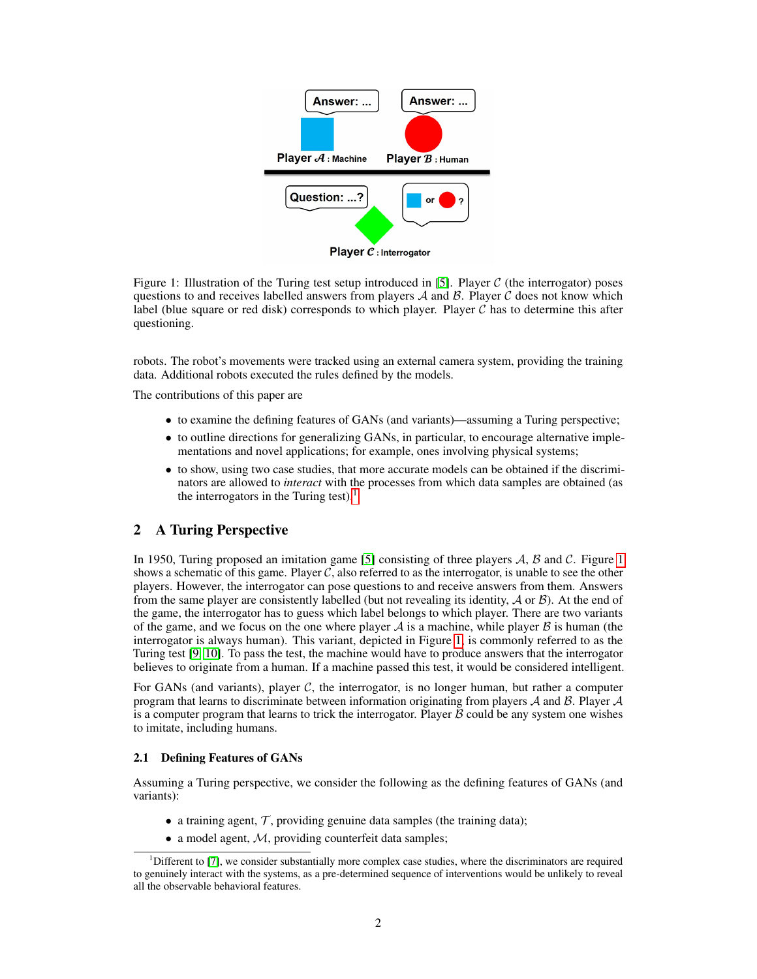

Figure 1: Illustration of the Turing test setup introduced in [5]. Player  $C$  (the interrogator) poses questions to and receives labelled answers from players  $A$  and  $B$ . Player  $C$  does not know which label (blue square or red disk) corresponds to which player. Player  $\mathcal C$  has to determine this after questioning.

robots. The robot's movements were tracked using an external camera system, providing the training data. Additional robots executed the rules defined by the models.

The contributions of this paper are

- to examine the defining features of GANs (and variants)—assuming a Turing perspective;
- to outline directions for generalizing GANs, in particular, to encourage alternative implementations and novel applications; for example, ones involving physical systems;
- to show, using two case studies, that more accurate models can be obtained if the discriminators are allowed to *interact* with the processes from which data samples are obtained (as the interrogators in the Turing test).<sup>1</sup>

# 2 A Turing Perspective

In 1950, Turing proposed an imitation game [5] consisting of three players  $A$ ,  $B$  and  $C$ . Figure 1 shows a schematic of this game. Player  $C$ , also referred to as the interrogator, is unable to see the other players. However, the interrogator can pose questions to and receive answers from them. Answers from the same player are consistently labelled (but not revealing its identity,  $\mathcal A$  or  $\mathcal B$ ). At the end of the game, the interrogator has to guess which label belongs to which player. There are two variants of the game, and we focus on the one where player  $A$  is a machine, while player  $B$  is human (the interrogator is always human). This variant, depicted in Figure 1, is commonly referred to as the Turing test [9, 10]. To pass the test, the machine would have to produce answers that the interrogator believes to originate from a human. If a machine passed this test, it would be considered intelligent.

For GANs (and variants), player  $C$ , the interrogator, is no longer human, but rather a computer program that learns to discriminate between information originating from players  $A$  and  $B$ . Player  $A$ is a computer program that learns to trick the interrogator. Player  $\beta$  could be any system one wishes to imitate, including humans.

### 2.1 Defining Features of GANs

Assuming a Turing perspective, we consider the following as the defining features of GANs (and variants):

- a training agent,  $\mathcal{T}$ , providing genuine data samples (the training data);
- a model agent,  $M$ , providing counterfeit data samples;

<sup>&</sup>lt;sup>1</sup>Different to [7], we consider substantially more complex case studies, where the discriminators are required to genuinely interact with the systems, as a pre-determined sequence of interventions would be unlikely to reveal all the observable behavioral features.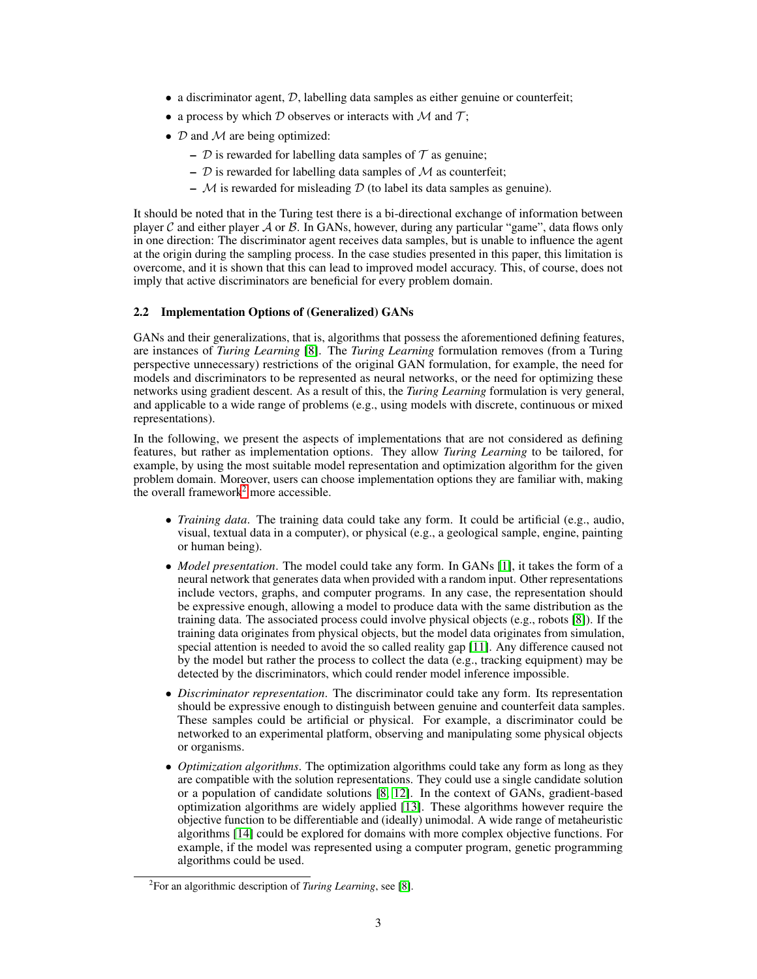- $\bullet$  a discriminator agent,  $\mathcal{D}$ , labelling data samples as either genuine or counterfeit;
- a process by which  $D$  observes or interacts with  $M$  and  $T$ ;
- $D$  and  $M$  are being optimized:
	- $D$  is rewarded for labelling data samples of  $T$  as genuine;
	- $\mathcal D$  is rewarded for labelling data samples of  $\mathcal M$  as counterfeit;
	- $M$  is rewarded for misleading  $D$  (to label its data samples as genuine).

It should be noted that in the Turing test there is a bi-directional exchange of information between player C and either player A or B. In GANs, however, during any particular "game", data flows only in one direction: The discriminator agent receives data samples, but is unable to influence the agent at the origin during the sampling process. In the case studies presented in this paper, this limitation is overcome, and it is shown that this can lead to improved model accuracy. This, of course, does not imply that active discriminators are beneficial for every problem domain.

### 2.2 Implementation Options of (Generalized) GANs

GANs and their generalizations, that is, algorithms that possess the aforementioned defining features, are instances of *Turing Learning* [8]. The *Turing Learning* formulation removes (from a Turing perspective unnecessary) restrictions of the original GAN formulation, for example, the need for models and discriminators to be represented as neural networks, or the need for optimizing these networks using gradient descent. As a result of this, the *Turing Learning* formulation is very general, and applicable to a wide range of problems (e.g., using models with discrete, continuous or mixed representations).

In the following, we present the aspects of implementations that are not considered as defining features, but rather as implementation options. They allow *Turing Learning* to be tailored, for example, by using the most suitable model representation and optimization algorithm for the given problem domain. Moreover, users can choose implementation options they are familiar with, making the overall framework<sup>2</sup> more accessible.

- *Training data*. The training data could take any form. It could be artificial (e.g., audio, visual, textual data in a computer), or physical (e.g., a geological sample, engine, painting or human being).
- *Model presentation*. The model could take any form. In GANs [1], it takes the form of a neural network that generates data when provided with a random input. Other representations include vectors, graphs, and computer programs. In any case, the representation should be expressive enough, allowing a model to produce data with the same distribution as the training data. The associated process could involve physical objects (e.g., robots [8]). If the training data originates from physical objects, but the model data originates from simulation, special attention is needed to avoid the so called reality gap [11]. Any difference caused not by the model but rather the process to collect the data (e.g., tracking equipment) may be detected by the discriminators, which could render model inference impossible.
- *Discriminator representation*. The discriminator could take any form. Its representation should be expressive enough to distinguish between genuine and counterfeit data samples. These samples could be artificial or physical. For example, a discriminator could be networked to an experimental platform, observing and manipulating some physical objects or organisms.
- *Optimization algorithms*. The optimization algorithms could take any form as long as they are compatible with the solution representations. They could use a single candidate solution or a population of candidate solutions [8, 12]. In the context of GANs, gradient-based optimization algorithms are widely applied [13]. These algorithms however require the objective function to be differentiable and (ideally) unimodal. A wide range of metaheuristic algorithms [14] could be explored for domains with more complex objective functions. For example, if the model was represented using a computer program, genetic programming algorithms could be used.

<sup>2</sup> For an algorithmic description of *Turing Learning*, see [8].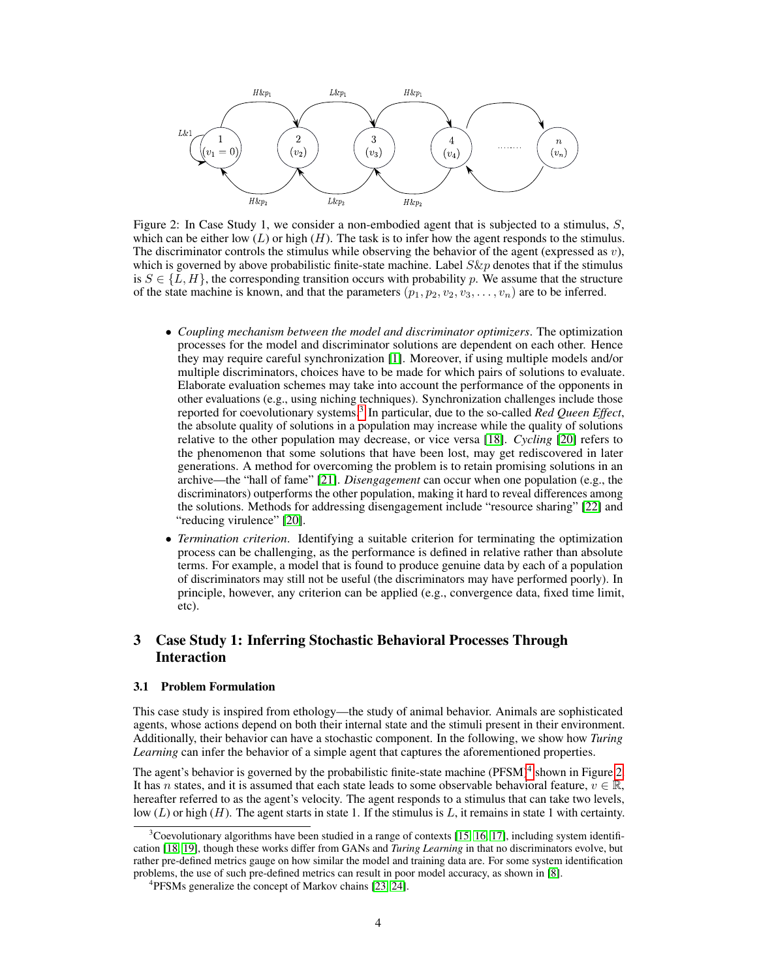

Figure 2: In Case Study 1, we consider a non-embodied agent that is subjected to a stimulus,  $S$ , which can be either low  $(L)$  or high  $(H)$ . The task is to infer how the agent responds to the stimulus. The discriminator controls the stimulus while observing the behavior of the agent (expressed as  $v$ ), which is governed by above probabilistic finite-state machine. Label  $S\&p$  denotes that if the stimulus is  $S \in \{L, H\}$ , the corresponding transition occurs with probability p. We assume that the structure of the state machine is known, and that the parameters  $(p_1, p_2, v_2, v_3, \ldots, v_n)$  are to be inferred.

- *Coupling mechanism between the model and discriminator optimizers*. The optimization processes for the model and discriminator solutions are dependent on each other. Hence they may require careful synchronization [1]. Moreover, if using multiple models and/or multiple discriminators, choices have to be made for which pairs of solutions to evaluate. Elaborate evaluation schemes may take into account the performance of the opponents in other evaluations (e.g., using niching techniques). Synchronization challenges include those reported for coevolutionary systems.<sup>3</sup> In particular, due to the so-called *Red Queen Effect*, the absolute quality of solutions in a population may increase while the quality of solutions relative to the other population may decrease, or vice versa [18]. *Cycling* [20] refers to the phenomenon that some solutions that have been lost, may get rediscovered in later generations. A method for overcoming the problem is to retain promising solutions in an archive—the "hall of fame" [21]. *Disengagement* can occur when one population (e.g., the discriminators) outperforms the other population, making it hard to reveal differences among the solutions. Methods for addressing disengagement include "resource sharing" [22] and "reducing virulence" [20].
- *Termination criterion*. Identifying a suitable criterion for terminating the optimization process can be challenging, as the performance is defined in relative rather than absolute terms. For example, a model that is found to produce genuine data by each of a population of discriminators may still not be useful (the discriminators may have performed poorly). In principle, however, any criterion can be applied (e.g., convergence data, fixed time limit, etc).

# 3 Case Study 1: Inferring Stochastic Behavioral Processes Through Interaction

### 3.1 Problem Formulation

This case study is inspired from ethology—the study of animal behavior. Animals are sophisticated agents, whose actions depend on both their internal state and the stimuli present in their environment. Additionally, their behavior can have a stochastic component. In the following, we show how *Turing Learning* can infer the behavior of a simple agent that captures the aforementioned properties.

The agent's behavior is governed by the probabilistic finite-state machine (PFSM)<sup>4</sup> shown in Figure 2. It has n states, and it is assumed that each state leads to some observable behavioral feature,  $v \in \mathbb{R}$ , hereafter referred to as the agent's velocity. The agent responds to a stimulus that can take two levels, low  $(L)$  or high  $(H)$ . The agent starts in state 1. If the stimulus is L, it remains in state 1 with certainty.

 $3$ Coevolutionary algorithms have been studied in a range of contexts [15, 16, 17], including system identification [18, 19], though these works differ from GANs and *Turing Learning* in that no discriminators evolve, but rather pre-defined metrics gauge on how similar the model and training data are. For some system identification problems, the use of such pre-defined metrics can result in poor model accuracy, as shown in [8].

<sup>&</sup>lt;sup>4</sup>PFSMs generalize the concept of Markov chains [23, 24].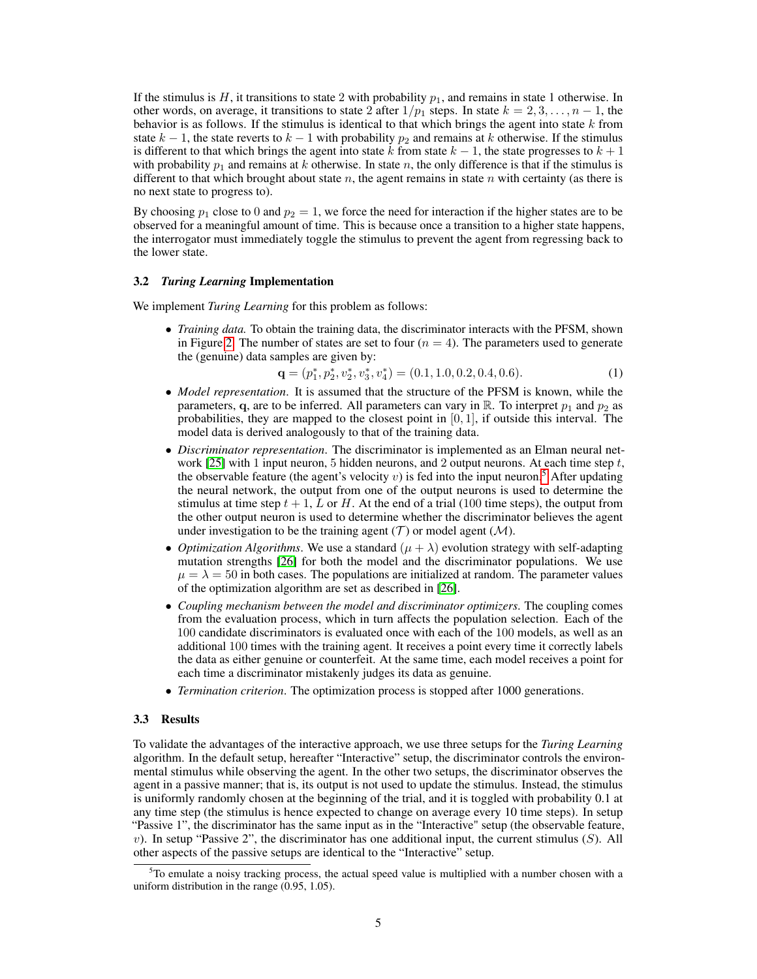If the stimulus is H, it transitions to state 2 with probability  $p_1$ , and remains in state 1 otherwise. In other words, on average, it transitions to state 2 after  $1/p_1$  steps. In state  $k = 2, 3, \ldots, n - 1$ , the behavior is as follows. If the stimulus is identical to that which brings the agent into state  $k$  from state  $k - 1$ , the state reverts to  $k - 1$  with probability  $p_2$  and remains at k otherwise. If the stimulus is different to that which brings the agent into state k from state  $k - 1$ , the state progresses to  $k + 1$ with probability  $p_1$  and remains at k otherwise. In state n, the only difference is that if the stimulus is different to that which brought about state n, the agent remains in state n with certainty (as there is no next state to progress to).

By choosing  $p_1$  close to 0 and  $p_2 = 1$ , we force the need for interaction if the higher states are to be observed for a meaningful amount of time. This is because once a transition to a higher state happens, the interrogator must immediately toggle the stimulus to prevent the agent from regressing back to the lower state.

#### 3.2 *Turing Learning* Implementation

We implement *Turing Learning* for this problem as follows:

• *Training data.* To obtain the training data, the discriminator interacts with the PFSM, shown in Figure 2. The number of states are set to four  $(n = 4)$ . The parameters used to generate the (genuine) data samples are given by:

$$
\mathbf{q} = (p_1^*, p_2^*, v_2^*, v_3^*, v_4^*) = (0.1, 1.0, 0.2, 0.4, 0.6). \tag{1}
$$

- *Model representation*. It is assumed that the structure of the PFSM is known, while the parameters, q, are to be inferred. All parameters can vary in  $\mathbb{R}$ . To interpret  $p_1$  and  $p_2$  as probabilities, they are mapped to the closest point in  $[0, 1]$ , if outside this interval. The model data is derived analogously to that of the training data.
- *Discriminator representation*. The discriminator is implemented as an Elman neural network [25] with 1 input neuron, 5 hidden neurons, and 2 output neurons. At each time step  $t$ , the observable feature (the agent's velocity v) is fed into the input neuron.<sup>5</sup> After updating the neural network, the output from one of the output neurons is used to determine the stimulus at time step  $t + 1$ , L or H. At the end of a trial (100 time steps), the output from the other output neuron is used to determine whether the discriminator believes the agent under investigation to be the training agent  $(\mathcal{T})$  or model agent  $(\mathcal{M})$ .
- *Optimization Algorithms*. We use a standard  $(\mu + \lambda)$  evolution strategy with self-adapting mutation strengths [26] for both the model and the discriminator populations. We use  $\mu = \lambda = 50$  in both cases. The populations are initialized at random. The parameter values of the optimization algorithm are set as described in [26].
- *Coupling mechanism between the model and discriminator optimizers*. The coupling comes from the evaluation process, which in turn affects the population selection. Each of the 100 candidate discriminators is evaluated once with each of the 100 models, as well as an additional 100 times with the training agent. It receives a point every time it correctly labels the data as either genuine or counterfeit. At the same time, each model receives a point for each time a discriminator mistakenly judges its data as genuine.
- *Termination criterion*. The optimization process is stopped after 1000 generations.

#### 3.3 Results

To validate the advantages of the interactive approach, we use three setups for the *Turing Learning* algorithm. In the default setup, hereafter "Interactive" setup, the discriminator controls the environmental stimulus while observing the agent. In the other two setups, the discriminator observes the agent in a passive manner; that is, its output is not used to update the stimulus. Instead, the stimulus is uniformly randomly chosen at the beginning of the trial, and it is toggled with probability 0.1 at any time step (the stimulus is hence expected to change on average every 10 time steps). In setup "Passive 1", the discriminator has the same input as in the "Interactive" setup (the observable feature, v). In setup "Passive 2", the discriminator has one additional input, the current stimulus  $(S)$ . All other aspects of the passive setups are identical to the "Interactive" setup.

 $5T$ o emulate a noisy tracking process, the actual speed value is multiplied with a number chosen with a uniform distribution in the range (0.95, 1.05).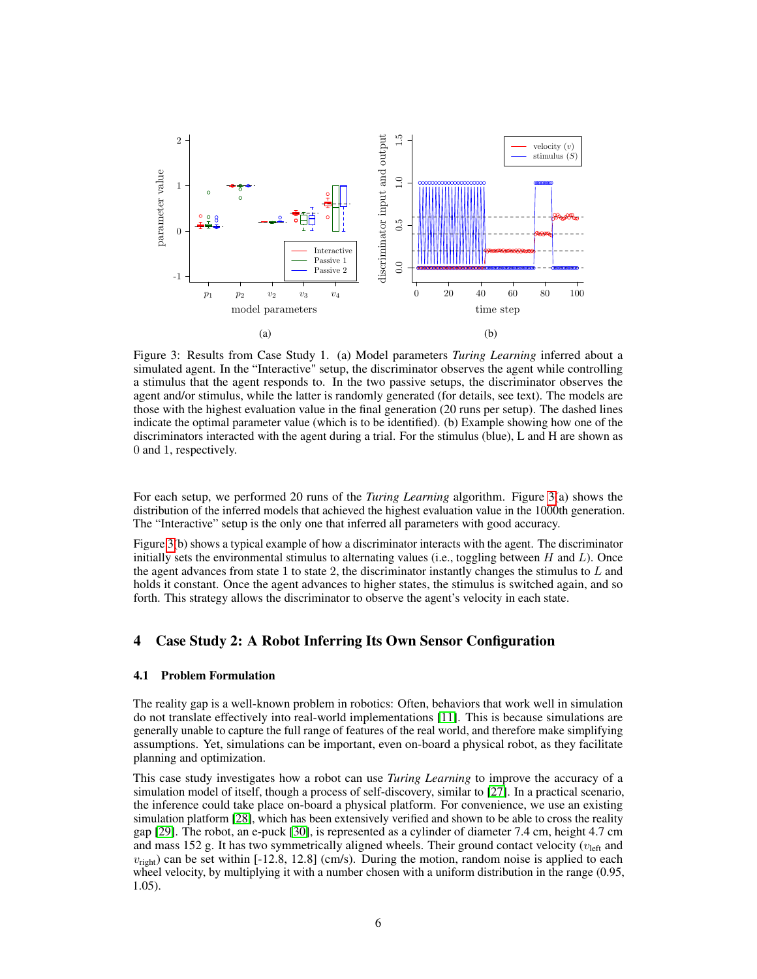

Figure 3: Results from Case Study 1. (a) Model parameters *Turing Learning* inferred about a simulated agent. In the "Interactive" setup, the discriminator observes the agent while controlling a stimulus that the agent responds to. In the two passive setups, the discriminator observes the agent and/or stimulus, while the latter is randomly generated (for details, see text). The models are those with the highest evaluation value in the final generation (20 runs per setup). The dashed lines indicate the optimal parameter value (which is to be identified). (b) Example showing how one of the discriminators interacted with the agent during a trial. For the stimulus (blue), L and H are shown as 0 and 1, respectively.

For each setup, we performed 20 runs of the *Turing Learning* algorithm. Figure 3(a) shows the distribution of the inferred models that achieved the highest evaluation value in the 1000th generation. The "Interactive" setup is the only one that inferred all parameters with good accuracy.

Figure 3(b) shows a typical example of how a discriminator interacts with the agent. The discriminator initially sets the environmental stimulus to alternating values (i.e., toggling between  $H$  and  $L$ ). Once the agent advances from state 1 to state 2, the discriminator instantly changes the stimulus to  $L$  and holds it constant. Once the agent advances to higher states, the stimulus is switched again, and so forth. This strategy allows the discriminator to observe the agent's velocity in each state.

# 4 Case Study 2: A Robot Inferring Its Own Sensor Configuration

#### 4.1 Problem Formulation

The reality gap is a well-known problem in robotics: Often, behaviors that work well in simulation do not translate effectively into real-world implementations [11]. This is because simulations are generally unable to capture the full range of features of the real world, and therefore make simplifying assumptions. Yet, simulations can be important, even on-board a physical robot, as they facilitate planning and optimization.

This case study investigates how a robot can use *Turing Learning* to improve the accuracy of a simulation model of itself, though a process of self-discovery, similar to [27]. In a practical scenario, the inference could take place on-board a physical platform. For convenience, we use an existing simulation platform [28], which has been extensively verified and shown to be able to cross the reality gap [29]. The robot, an e-puck [30], is represented as a cylinder of diameter 7.4 cm, height 4.7 cm and mass 152 g. It has two symmetrically aligned wheels. Their ground contact velocity ( $v_{\text{left}}$  and  $v_{\text{right}}$ ) can be set within [-12.8, 12.8] (cm/s). During the motion, random noise is applied to each wheel velocity, by multiplying it with a number chosen with a uniform distribution in the range  $(0.95, 0.005)$ 1.05).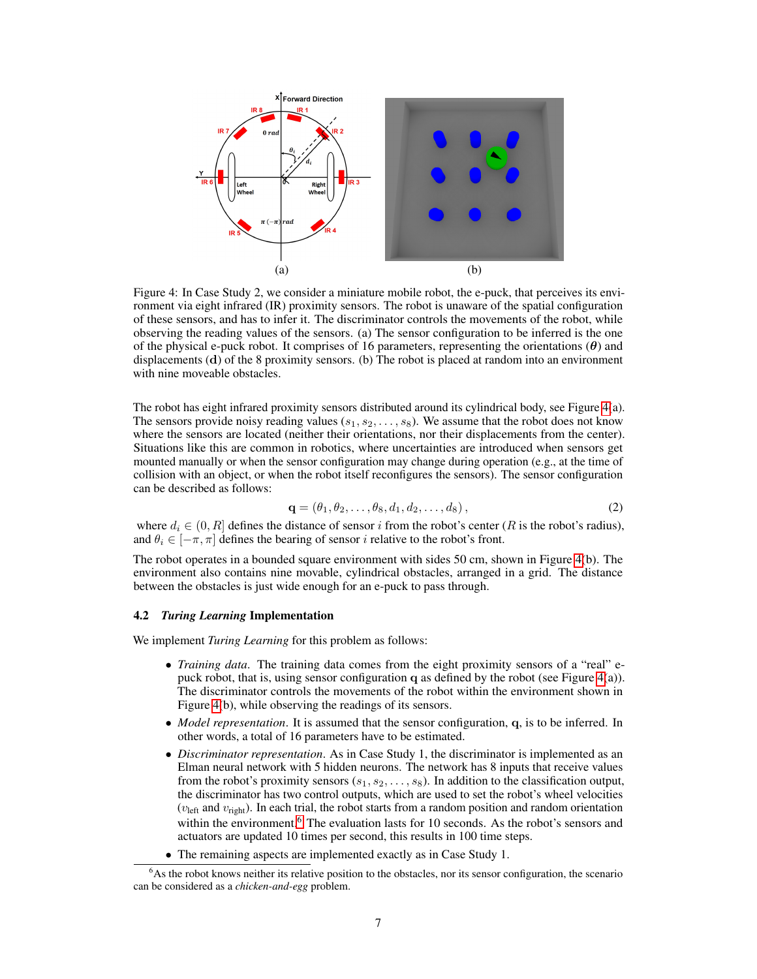

Figure 4: In Case Study 2, we consider a miniature mobile robot, the e-puck, that perceives its environment via eight infrared (IR) proximity sensors. The robot is unaware of the spatial configuration of these sensors, and has to infer it. The discriminator controls the movements of the robot, while observing the reading values of the sensors. (a) The sensor configuration to be inferred is the one of the physical e-puck robot. It comprises of 16 parameters, representing the orientations  $(\theta)$  and displacements  $(d)$  of the 8 proximity sensors. (b) The robot is placed at random into an environment with nine moveable obstacles.

The robot has eight infrared proximity sensors distributed around its cylindrical body, see Figure 4(a). The sensors provide noisy reading values  $(s_1, s_2, \ldots, s_8)$ . We assume that the robot does not know where the sensors are located (neither their orientations, nor their displacements from the center). Situations like this are common in robotics, where uncertainties are introduced when sensors get mounted manually or when the sensor configuration may change during operation (e.g., at the time of collision with an object, or when the robot itself reconfigures the sensors). The sensor configuration can be described as follows:

$$
\mathbf{q} = (\theta_1, \theta_2, \dots, \theta_8, d_1, d_2, \dots, d_8), \tag{2}
$$

where  $d_i \in (0, R]$  defines the distance of sensor i from the robot's center (R is the robot's radius), and  $\theta_i \in [-\pi, \pi]$  defines the bearing of sensor i relative to the robot's front.

The robot operates in a bounded square environment with sides 50 cm, shown in Figure 4(b). The environment also contains nine movable, cylindrical obstacles, arranged in a grid. The distance between the obstacles is just wide enough for an e-puck to pass through.

#### 4.2 *Turing Learning* Implementation

We implement *Turing Learning* for this problem as follows:

- *Training data*. The training data comes from the eight proximity sensors of a "real" epuck robot, that is, using sensor configuration q as defined by the robot (see Figure 4(a)). The discriminator controls the movements of the robot within the environment shown in Figure 4(b), while observing the readings of its sensors.
- *Model representation*. It is assumed that the sensor configuration, q, is to be inferred. In other words, a total of 16 parameters have to be estimated.
- *Discriminator representation*. As in Case Study 1, the discriminator is implemented as an Elman neural network with 5 hidden neurons. The network has 8 inputs that receive values from the robot's proximity sensors  $(s_1, s_2, \ldots, s_8)$ . In addition to the classification output, the discriminator has two control outputs, which are used to set the robot's wheel velocities ( $v_{\text{left}}$  and  $v_{\text{right}}$ ). In each trial, the robot starts from a random position and random orientation within the environment.<sup>6</sup> The evaluation lasts for 10 seconds. As the robot's sensors and actuators are updated 10 times per second, this results in 100 time steps.
- The remaining aspects are implemented exactly as in Case Study 1.

<sup>&</sup>lt;sup>6</sup>As the robot knows neither its relative position to the obstacles, nor its sensor configuration, the scenario can be considered as a *chicken-and-egg* problem.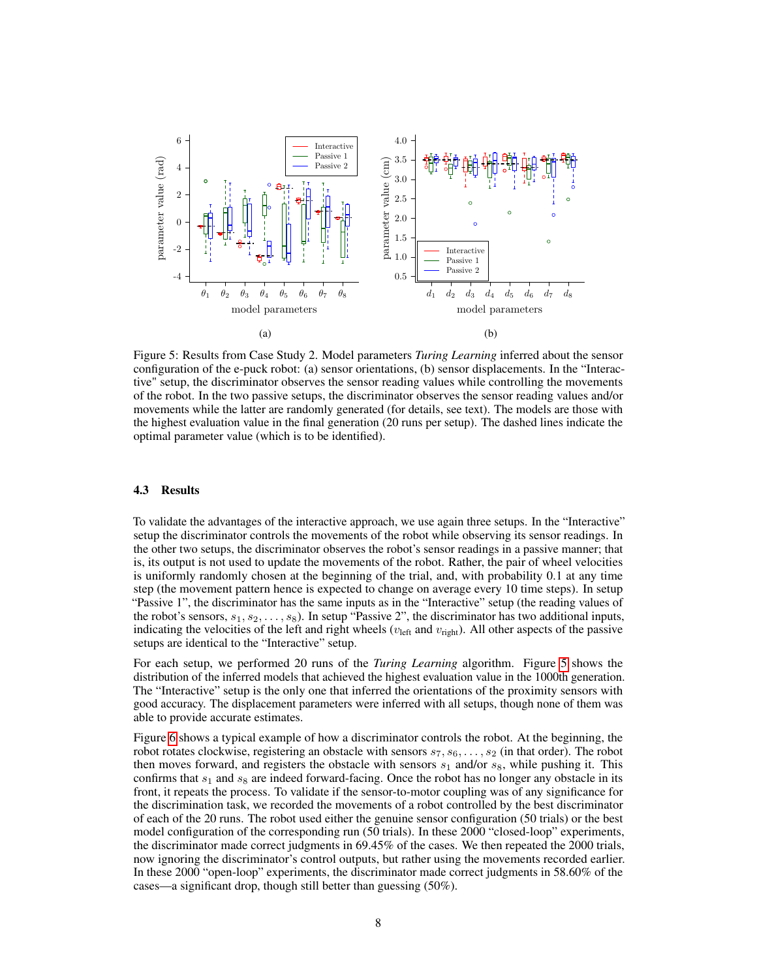

Figure 5: Results from Case Study 2. Model parameters *Turing Learning* inferred about the sensor configuration of the e-puck robot: (a) sensor orientations, (b) sensor displacements. In the "Interactive" setup, the discriminator observes the sensor reading values while controlling the movements of the robot. In the two passive setups, the discriminator observes the sensor reading values and/or movements while the latter are randomly generated (for details, see text). The models are those with the highest evaluation value in the final generation (20 runs per setup). The dashed lines indicate the optimal parameter value (which is to be identified).

### 4.3 Results

To validate the advantages of the interactive approach, we use again three setups. In the "Interactive" setup the discriminator controls the movements of the robot while observing its sensor readings. In the other two setups, the discriminator observes the robot's sensor readings in a passive manner; that is, its output is not used to update the movements of the robot. Rather, the pair of wheel velocities is uniformly randomly chosen at the beginning of the trial, and, with probability 0.1 at any time step (the movement pattern hence is expected to change on average every 10 time steps). In setup "Passive 1", the discriminator has the same inputs as in the "Interactive" setup (the reading values of the robot's sensors,  $s_1, s_2, \ldots, s_8$ ). In setup "Passive 2", the discriminator has two additional inputs, indicating the velocities of the left and right wheels ( $v_{\text{left}}$  and  $v_{\text{right}}$ ). All other aspects of the passive setups are identical to the "Interactive" setup.

For each setup, we performed 20 runs of the *Turing Learning* algorithm. Figure 5 shows the distribution of the inferred models that achieved the highest evaluation value in the 1000th generation. The "Interactive" setup is the only one that inferred the orientations of the proximity sensors with good accuracy. The displacement parameters were inferred with all setups, though none of them was able to provide accurate estimates.

Figure 6 shows a typical example of how a discriminator controls the robot. At the beginning, the robot rotates clockwise, registering an obstacle with sensors  $s_7, s_6, \ldots, s_2$  (in that order). The robot then moves forward, and registers the obstacle with sensors  $s_1$  and/or  $s_8$ , while pushing it. This confirms that  $s_1$  and  $s_8$  are indeed forward-facing. Once the robot has no longer any obstacle in its front, it repeats the process. To validate if the sensor-to-motor coupling was of any significance for the discrimination task, we recorded the movements of a robot controlled by the best discriminator of each of the 20 runs. The robot used either the genuine sensor configuration (50 trials) or the best model configuration of the corresponding run (50 trials). In these 2000 "closed-loop" experiments, the discriminator made correct judgments in 69.45% of the cases. We then repeated the 2000 trials, now ignoring the discriminator's control outputs, but rather using the movements recorded earlier. In these 2000 "open-loop" experiments, the discriminator made correct judgments in 58.60% of the cases—a significant drop, though still better than guessing (50%).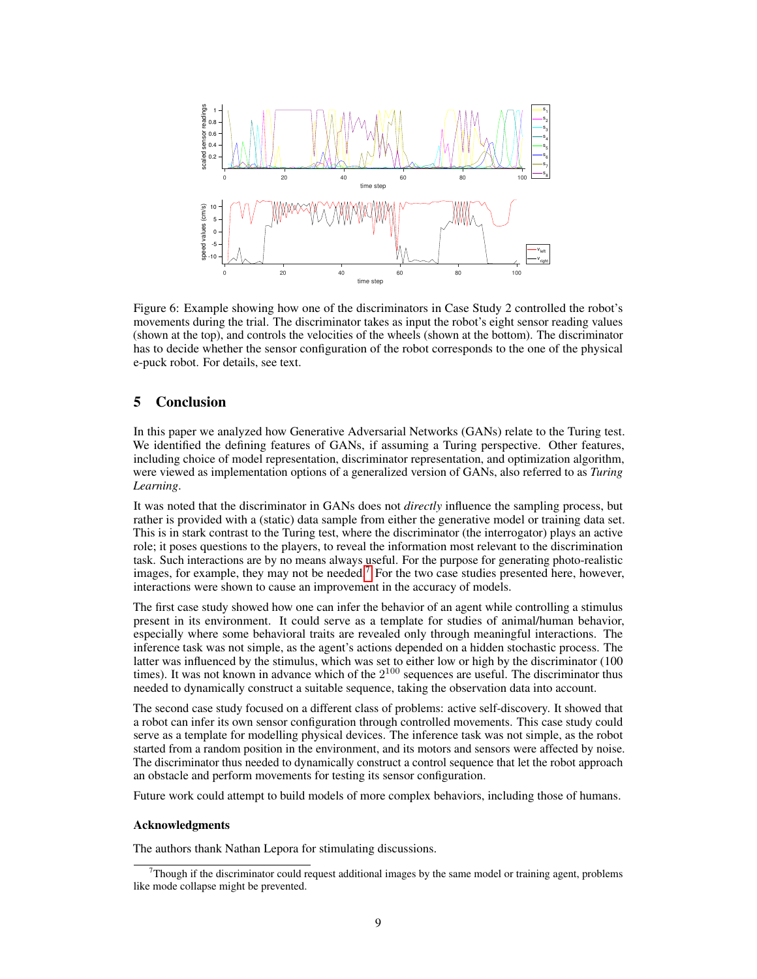

Figure 6: Example showing how one of the discriminators in Case Study 2 controlled the robot's movements during the trial. The discriminator takes as input the robot's eight sensor reading values (shown at the top), and controls the velocities of the wheels (shown at the bottom). The discriminator has to decide whether the sensor configuration of the robot corresponds to the one of the physical e-puck robot. For details, see text.

### 5 Conclusion

In this paper we analyzed how Generative Adversarial Networks (GANs) relate to the Turing test. We identified the defining features of GANs, if assuming a Turing perspective. Other features, including choice of model representation, discriminator representation, and optimization algorithm, were viewed as implementation options of a generalized version of GANs, also referred to as *Turing Learning*.

It was noted that the discriminator in GANs does not *directly* influence the sampling process, but rather is provided with a (static) data sample from either the generative model or training data set. This is in stark contrast to the Turing test, where the discriminator (the interrogator) plays an active role; it poses questions to the players, to reveal the information most relevant to the discrimination task. Such interactions are by no means always useful. For the purpose for generating photo-realistic images, for example, they may not be needed.<sup>7</sup> For the two case studies presented here, however, interactions were shown to cause an improvement in the accuracy of models.

The first case study showed how one can infer the behavior of an agent while controlling a stimulus present in its environment. It could serve as a template for studies of animal/human behavior, especially where some behavioral traits are revealed only through meaningful interactions. The inference task was not simple, as the agent's actions depended on a hidden stochastic process. The latter was influenced by the stimulus, which was set to either low or high by the discriminator (100 times). It was not known in advance which of the  $2^{100}$  sequences are useful. The discriminator thus needed to dynamically construct a suitable sequence, taking the observation data into account.

The second case study focused on a different class of problems: active self-discovery. It showed that a robot can infer its own sensor configuration through controlled movements. This case study could serve as a template for modelling physical devices. The inference task was not simple, as the robot started from a random position in the environment, and its motors and sensors were affected by noise. The discriminator thus needed to dynamically construct a control sequence that let the robot approach an obstacle and perform movements for testing its sensor configuration.

Future work could attempt to build models of more complex behaviors, including those of humans.

#### Acknowledgments

The authors thank Nathan Lepora for stimulating discussions.

 $<sup>7</sup>$ Though if the discriminator could request additional images by the same model or training agent, problems</sup> like mode collapse might be prevented.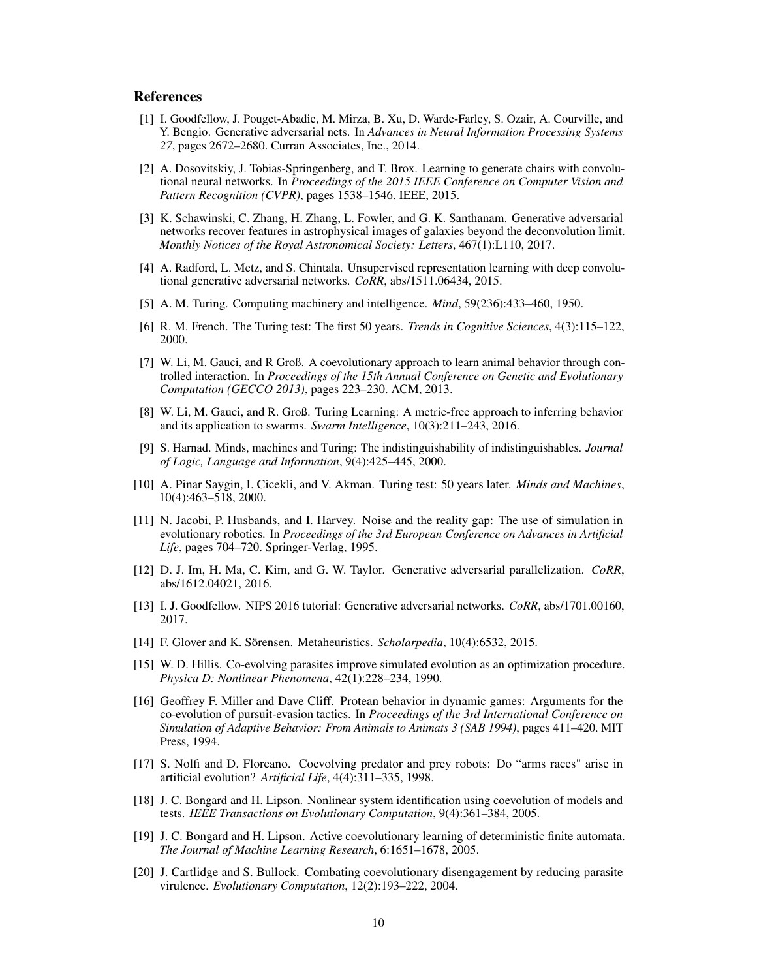### References

- [1] I. Goodfellow, J. Pouget-Abadie, M. Mirza, B. Xu, D. Warde-Farley, S. Ozair, A. Courville, and Y. Bengio. Generative adversarial nets. In *Advances in Neural Information Processing Systems 27*, pages 2672–2680. Curran Associates, Inc., 2014.
- [2] A. Dosovitskiy, J. Tobias-Springenberg, and T. Brox. Learning to generate chairs with convolutional neural networks. In *Proceedings of the 2015 IEEE Conference on Computer Vision and Pattern Recognition (CVPR)*, pages 1538–1546. IEEE, 2015.
- [3] K. Schawinski, C. Zhang, H. Zhang, L. Fowler, and G. K. Santhanam. Generative adversarial networks recover features in astrophysical images of galaxies beyond the deconvolution limit. *Monthly Notices of the Royal Astronomical Society: Letters*, 467(1):L110, 2017.
- [4] A. Radford, L. Metz, and S. Chintala. Unsupervised representation learning with deep convolutional generative adversarial networks. *CoRR*, abs/1511.06434, 2015.
- [5] A. M. Turing. Computing machinery and intelligence. *Mind*, 59(236):433–460, 1950.
- [6] R. M. French. The Turing test: The first 50 years. *Trends in Cognitive Sciences*, 4(3):115–122, 2000.
- [7] W. Li, M. Gauci, and R Groß. A coevolutionary approach to learn animal behavior through controlled interaction. In *Proceedings of the 15th Annual Conference on Genetic and Evolutionary Computation (GECCO 2013)*, pages 223–230. ACM, 2013.
- [8] W. Li, M. Gauci, and R. Groß. Turing Learning: A metric-free approach to inferring behavior and its application to swarms. *Swarm Intelligence*, 10(3):211–243, 2016.
- [9] S. Harnad. Minds, machines and Turing: The indistinguishability of indistinguishables. *Journal of Logic, Language and Information*, 9(4):425–445, 2000.
- [10] A. Pinar Saygin, I. Cicekli, and V. Akman. Turing test: 50 years later. *Minds and Machines*, 10(4):463–518, 2000.
- [11] N. Jacobi, P. Husbands, and I. Harvey. Noise and the reality gap: The use of simulation in evolutionary robotics. In *Proceedings of the 3rd European Conference on Advances in Artificial Life*, pages 704–720. Springer-Verlag, 1995.
- [12] D. J. Im, H. Ma, C. Kim, and G. W. Taylor. Generative adversarial parallelization. *CoRR*, abs/1612.04021, 2016.
- [13] I. J. Goodfellow. NIPS 2016 tutorial: Generative adversarial networks. *CoRR*, abs/1701.00160, 2017.
- [14] F. Glover and K. Sörensen. Metaheuristics. *Scholarpedia*, 10(4):6532, 2015.
- [15] W. D. Hillis. Co-evolving parasites improve simulated evolution as an optimization procedure. *Physica D: Nonlinear Phenomena*, 42(1):228–234, 1990.
- [16] Geoffrey F. Miller and Dave Cliff. Protean behavior in dynamic games: Arguments for the co-evolution of pursuit-evasion tactics. In *Proceedings of the 3rd International Conference on Simulation of Adaptive Behavior: From Animals to Animats 3 (SAB 1994)*, pages 411–420. MIT Press, 1994.
- [17] S. Nolfi and D. Floreano. Coevolving predator and prey robots: Do "arms races" arise in artificial evolution? *Artificial Life*, 4(4):311–335, 1998.
- [18] J. C. Bongard and H. Lipson. Nonlinear system identification using coevolution of models and tests. *IEEE Transactions on Evolutionary Computation*, 9(4):361–384, 2005.
- [19] J. C. Bongard and H. Lipson. Active coevolutionary learning of deterministic finite automata. *The Journal of Machine Learning Research*, 6:1651–1678, 2005.
- [20] J. Cartlidge and S. Bullock. Combating coevolutionary disengagement by reducing parasite virulence. *Evolutionary Computation*, 12(2):193–222, 2004.